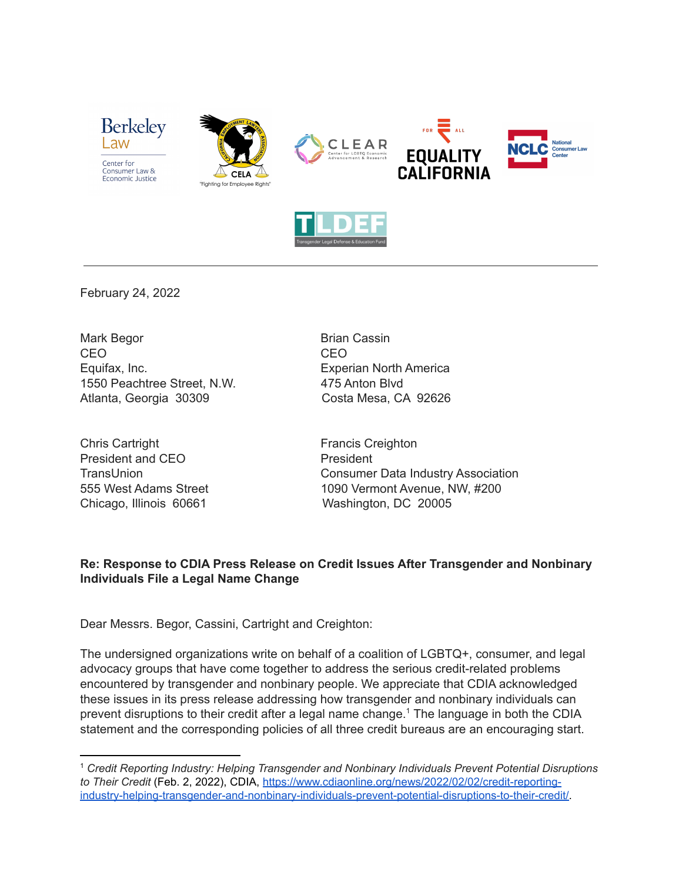



February 24, 2022

Mark Begor **Brian Cassin** CEO CEO Equifax, Inc. Experian North America 1550 Peachtree Street, N.W. 475 Anton Blvd Atlanta, Georgia 30309 Costa Mesa, CA 92626

Chris Cartright **Francis Creighton** President and CEO President

TransUnion Consumer Data Industry Association 555 West Adams Street 1090 Vermont Avenue, NW, #200 Chicago, Illinois 60661 Washington, DC 20005

## **Re: Response to CDIA Press Release on Credit Issues After Transgender and Nonbinary Individuals File a Legal Name Change**

Dear Messrs. Begor, Cassini, Cartright and Creighton:

The undersigned organizations write on behalf of a coalition of LGBTQ+, consumer, and legal advocacy groups that have come together to address the serious credit-related problems encountered by transgender and nonbinary people. We appreciate that CDIA acknowledged these issues in its press release addressing how transgender and nonbinary individuals can prevent disruptions to their credit after a legal name change.<sup>1</sup> The language in both the CDIA statement and the corresponding policies of all three credit bureaus are an encouraging start.

<sup>1</sup> *Credit Reporting Industry: Helping Transgender and Nonbinary Individuals Prevent Potential Disruptions to Their Credit* (Feb. 2, 2022), CDIA, [https://www.cdiaonline.org/news/2022/02/02/credit-reporting](https://www.cdiaonline.org/news/2022/02/02/credit-reporting-)[industry-helping-transgender-and-nonbinary-individuals-prevent-potential-disruptions-to-their-credit/.](https://www.cdiaonline.org/news/2022/02/02/credit-reporting-)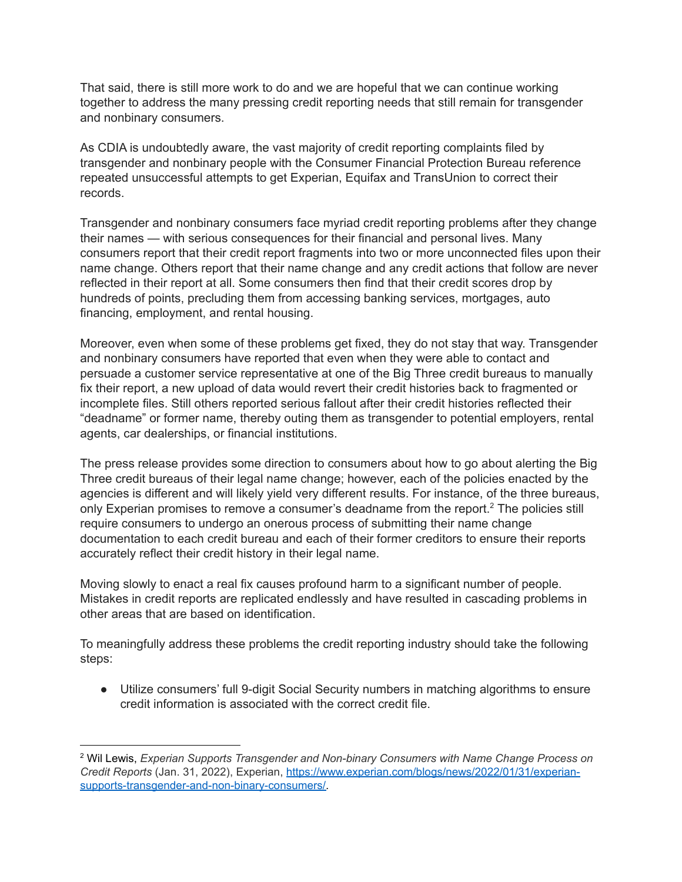That said, there is still more work to do and we are hopeful that we can continue working together to address the many pressing credit reporting needs that still remain for transgender and nonbinary consumers.

As CDIA is undoubtedly aware, the vast majority of credit reporting complaints filed by transgender and nonbinary people with the Consumer Financial Protection Bureau reference repeated unsuccessful attempts to get Experian, Equifax and TransUnion to correct their records.

Transgender and nonbinary consumers face myriad credit reporting problems after they change their names — with serious consequences for their financial and personal lives. Many consumers report that their credit report fragments into two or more unconnected files upon their name change. Others report that their name change and any credit actions that follow are never reflected in their report at all. Some consumers then find that their credit scores drop by hundreds of points, precluding them from accessing banking services, mortgages, auto financing, employment, and rental housing.

Moreover, even when some of these problems get fixed, they do not stay that way. Transgender and nonbinary consumers have reported that even when they were able to contact and persuade a customer service representative at one of the Big Three credit bureaus to manually fix their report, a new upload of data would revert their credit histories back to fragmented or incomplete files. Still others reported serious fallout after their credit histories reflected their "deadname" or former name, thereby outing them as transgender to potential employers, rental agents, car dealerships, or financial institutions.

The press release provides some direction to consumers about how to go about alerting the Big Three credit bureaus of their legal name change; however, each of the policies enacted by the agencies is different and will likely yield very different results. For instance, of the three bureaus, only Experian promises to remove a consumer's deadname from the report.<sup>2</sup> The policies still require consumers to undergo an onerous process of submitting their name change documentation to each credit bureau and each of their former creditors to ensure their reports accurately reflect their credit history in their legal name.

Moving slowly to enact a real fix causes profound harm to a significant number of people. Mistakes in credit reports are replicated endlessly and have resulted in cascading problems in other areas that are based on identification.

To meaningfully address these problems the credit reporting industry should take the following steps:

● Utilize consumers' full 9-digit Social Security numbers in matching algorithms to ensure credit information is associated with the correct credit file.

<sup>2</sup> Wil Lewis, *Experian Supports Transgender and Non-binary Consumers with Name Change Process on Credit Reports* (Jan. 31, 2022), Experian, [https://www.experian.com/blogs/news/2022/01/31/experian](https://www.experian.com/blogs/news/2022/01/31/experian-supports-transgender-and-non-binary-consumers/)[supports-transgender-and-non-binary-consumers/.](https://www.experian.com/blogs/news/2022/01/31/experian-supports-transgender-and-non-binary-consumers/)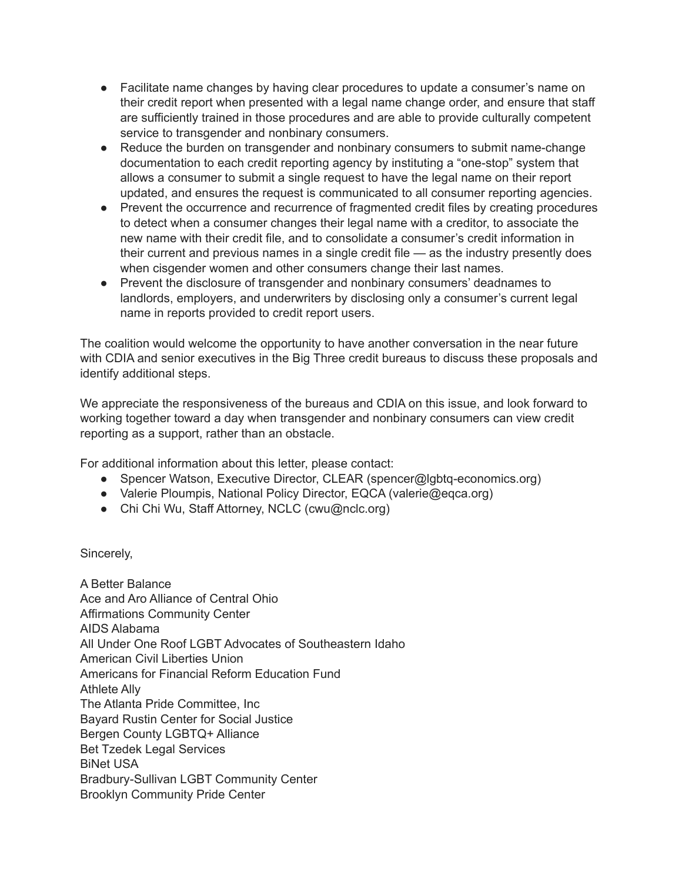- Facilitate name changes by having clear procedures to update a consumer's name on their credit report when presented with a legal name change order, and ensure that staff are sufficiently trained in those procedures and are able to provide culturally competent service to transgender and nonbinary consumers.
- Reduce the burden on transgender and nonbinary consumers to submit name-change documentation to each credit reporting agency by instituting a "one-stop" system that allows a consumer to submit a single request to have the legal name on their report updated, and ensures the request is communicated to all consumer reporting agencies.
- Prevent the occurrence and recurrence of fragmented credit files by creating procedures to detect when a consumer changes their legal name with a creditor, to associate the new name with their credit file, and to consolidate a consumer's credit information in their current and previous names in a single credit file — as the industry presently does when cisgender women and other consumers change their last names.
- Prevent the disclosure of transgender and nonbinary consumers' deadnames to landlords, employers, and underwriters by disclosing only a consumer's current legal name in reports provided to credit report users.

The coalition would welcome the opportunity to have another conversation in the near future with CDIA and senior executives in the Big Three credit bureaus to discuss these proposals and identify additional steps.

We appreciate the responsiveness of the bureaus and CDIA on this issue, and look forward to working together toward a day when transgender and nonbinary consumers can view credit reporting as a support, rather than an obstacle.

For additional information about this letter, please contact:

- Spencer Watson, Executive Director, CLEAR (spencer@lgbtq-economics.org)
- Valerie Ploumpis, National Policy Director, EQCA (valerie@eqca.org)
- Chi Chi Wu, Staff Attorney, NCLC (cwu@nclc.org)

Sincerely,

A Better Balance Ace and Aro Alliance of Central Ohio Affirmations Community Center AIDS Alabama All Under One Roof LGBT Advocates of Southeastern Idaho American Civil Liberties Union Americans for Financial Reform Education Fund Athlete Ally The Atlanta Pride Committee, Inc Bayard Rustin Center for Social Justice Bergen County LGBTQ+ Alliance Bet Tzedek Legal Services BiNet USA Bradbury-Sullivan LGBT Community Center Brooklyn Community Pride Center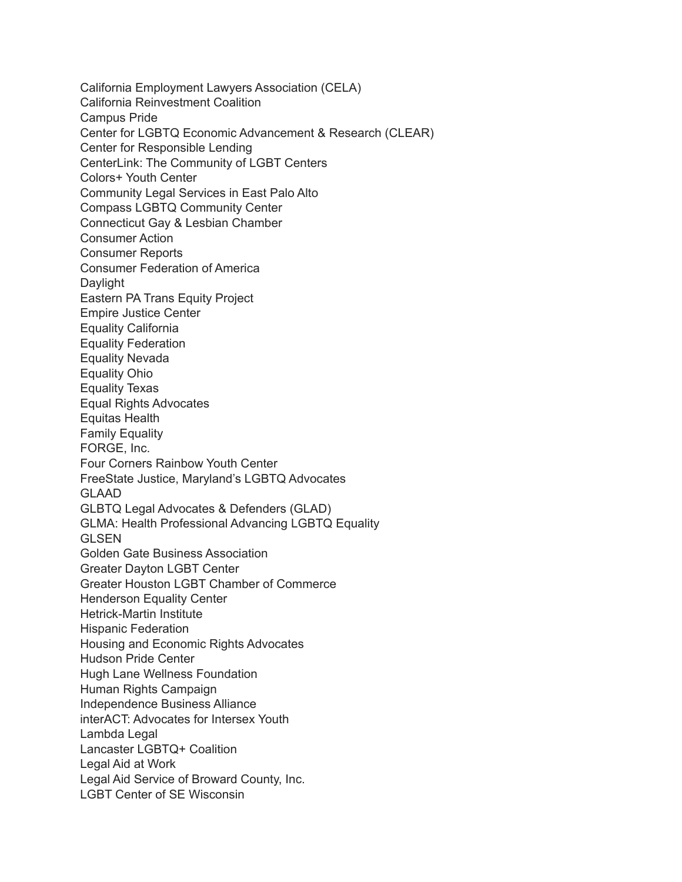California Employment Lawyers Association (CELA) California Reinvestment Coalition Campus Pride Center for LGBTQ Economic Advancement & Research (CLEAR) Center for Responsible Lending CenterLink: The Community of LGBT Centers Colors+ Youth Center Community Legal Services in East Palo Alto Compass LGBTQ Community Center Connecticut Gay & Lesbian Chamber Consumer Action Consumer Reports Consumer Federation of America Daylight Eastern PA Trans Equity Project Empire Justice Center Equality California Equality Federation Equality Nevada Equality Ohio Equality Texas Equal Rights Advocates Equitas Health Family Equality FORGE, Inc. Four Corners Rainbow Youth Center FreeState Justice, Maryland's LGBTQ Advocates GLAAD GLBTQ Legal Advocates & Defenders (GLAD) GLMA: Health Professional Advancing LGBTQ Equality GLSEN Golden Gate Business Association Greater Dayton LGBT Center Greater Houston LGBT Chamber of Commerce Henderson Equality Center Hetrick-Martin Institute Hispanic Federation Housing and Economic Rights Advocates Hudson Pride Center Hugh Lane Wellness Foundation Human Rights Campaign Independence Business Alliance interACT: Advocates for Intersex Youth Lambda Legal Lancaster LGBTQ+ Coalition Legal Aid at Work Legal Aid Service of Broward County, Inc. LGBT Center of SE Wisconsin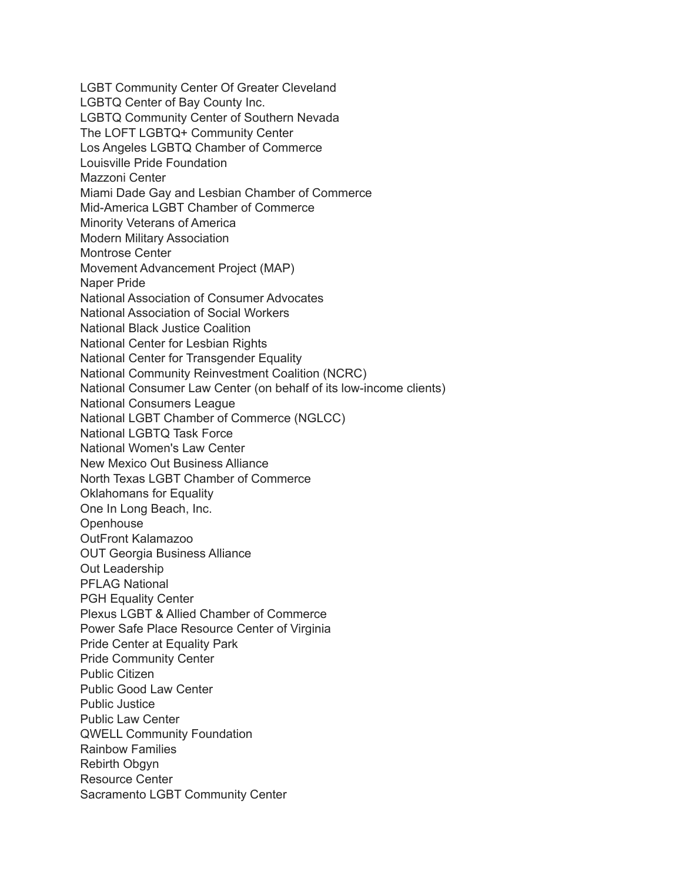LGBT Community Center Of Greater Cleveland LGBTQ Center of Bay County Inc. LGBTQ Community Center of Southern Nevada The LOFT LGBTQ+ Community Center Los Angeles LGBTQ Chamber of Commerce Louisville Pride Foundation Mazzoni Center Miami Dade Gay and Lesbian Chamber of Commerce Mid-America LGBT Chamber of Commerce Minority Veterans of America Modern Military Association Montrose Center Movement Advancement Project (MAP) Naper Pride National Association of Consumer Advocates National Association of Social Workers National Black Justice Coalition National Center for Lesbian Rights National Center for Transgender Equality National Community Reinvestment Coalition (NCRC) National Consumer Law Center (on behalf of its low-income clients) National Consumers League National LGBT Chamber of Commerce (NGLCC) National LGBTQ Task Force National Women's Law Center New Mexico Out Business Alliance North Texas LGBT Chamber of Commerce Oklahomans for Equality One In Long Beach, Inc. **Openhouse** OutFront Kalamazoo OUT Georgia Business Alliance Out Leadership PFLAG National PGH Equality Center Plexus LGBT & Allied Chamber of Commerce Power Safe Place Resource Center of Virginia Pride Center at Equality Park Pride Community Center Public Citizen Public Good Law Center Public Justice Public Law Center QWELL Community Foundation Rainbow Families Rebirth Obgyn Resource Center Sacramento LGBT Community Center